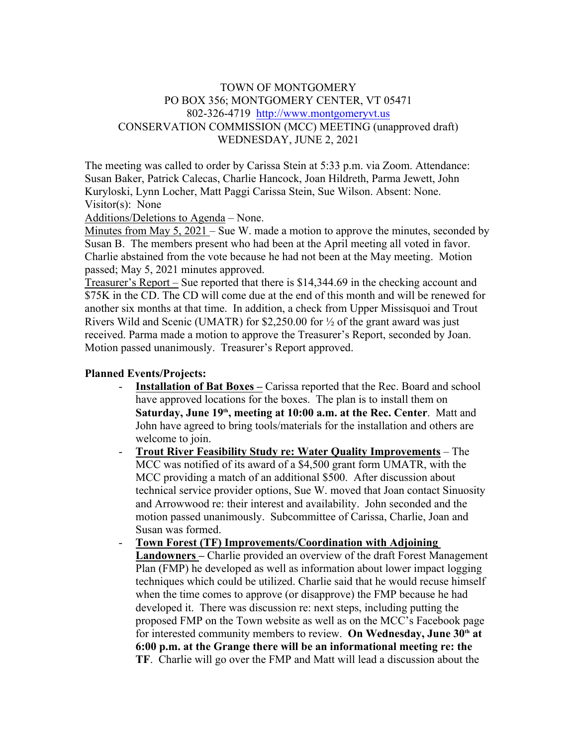## TOWN OF MONTGOMERY PO BOX 356; MONTGOMERY CENTER, VT 05471 802-326-4719 http://www.montgomeryvt.us CONSERVATION COMMISSION (MCC) MEETING (unapproved draft) WEDNESDAY, JUNE 2, 2021

The meeting was called to order by Carissa Stein at 5:33 p.m. via Zoom. Attendance: Susan Baker, Patrick Calecas, Charlie Hancock, Joan Hildreth, Parma Jewett, John Kuryloski, Lynn Locher, Matt Paggi Carissa Stein, Sue Wilson. Absent: None. Visitor(s): None

Additions/Deletions to Agenda – None.

Minutes from May 5, 2021 – Sue W. made a motion to approve the minutes, seconded by Susan B. The members present who had been at the April meeting all voted in favor. Charlie abstained from the vote because he had not been at the May meeting. Motion passed; May 5, 2021 minutes approved.

Treasurer's Report – Sue reported that there is \$14,344.69 in the checking account and \$75K in the CD. The CD will come due at the end of this month and will be renewed for another six months at that time. In addition, a check from Upper Missisquoi and Trout Rivers Wild and Scenic (UMATR) for \$2,250.00 for ½ of the grant award was just received. Parma made a motion to approve the Treasurer's Report, seconded by Joan. Motion passed unanimously. Treasurer's Report approved.

## **Planned Events/Projects:**

- **Installation of Bat Boxes –** Carissa reported that the Rec. Board and school have approved locations for the boxes. The plan is to install them on **Saturday, June 19th, meeting at 10:00 a.m. at the Rec. Center**. Matt and John have agreed to bring tools/materials for the installation and others are welcome to join.
- **Trout River Feasibility Study re: Water Quality Improvements** The MCC was notified of its award of a \$4,500 grant form UMATR, with the MCC providing a match of an additional \$500. After discussion about technical service provider options, Sue W. moved that Joan contact Sinuosity and Arrowwood re: their interest and availability. John seconded and the motion passed unanimously. Subcommittee of Carissa, Charlie, Joan and Susan was formed.
- **Town Forest (TF) Improvements/Coordination with Adjoining Landowners –** Charlie provided an overview of the draft Forest Management Plan (FMP) he developed as well as information about lower impact logging techniques which could be utilized. Charlie said that he would recuse himself when the time comes to approve (or disapprove) the FMP because he had developed it. There was discussion re: next steps, including putting the proposed FMP on the Town website as well as on the MCC's Facebook page for interested community members to review. **On Wednesday, June 30th at 6:00 p.m. at the Grange there will be an informational meeting re: the TF**. Charlie will go over the FMP and Matt will lead a discussion about the